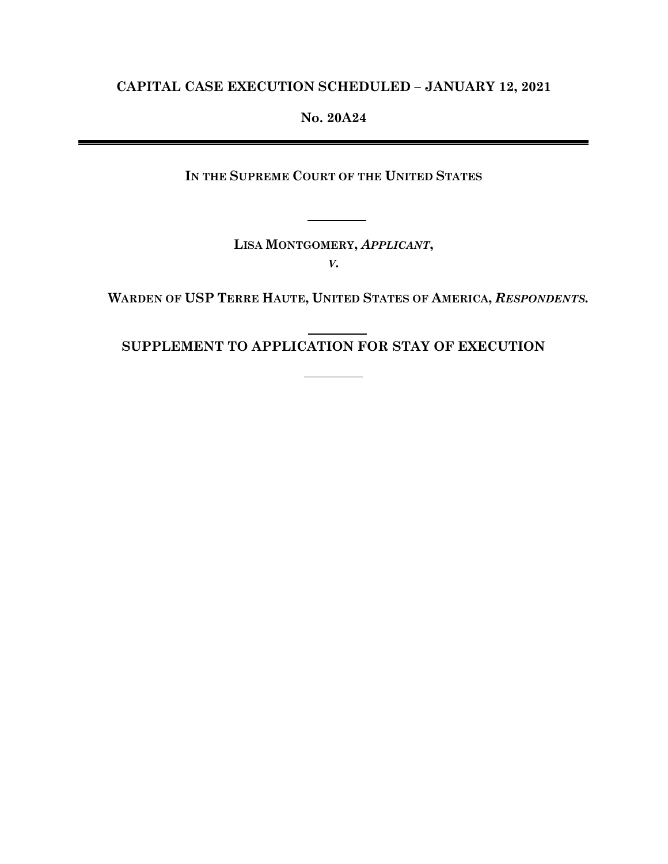## **CAPITAL CASE EXECUTION SCHEDULED – JANUARY 12, 2021**

## **No. 20A24**

**IN THE SUPREME COURT OF THE UNITED STATES** 

**LISA MONTGOMERY,** *APPLICANT***,** *V.*

**WARDEN OF USP TERRE HAUTE, UNITED STATES OF AMERICA,** *RESPONDENTS.*

j. **SUPPLEMENT TO APPLICATION FOR STAY OF EXECUTION**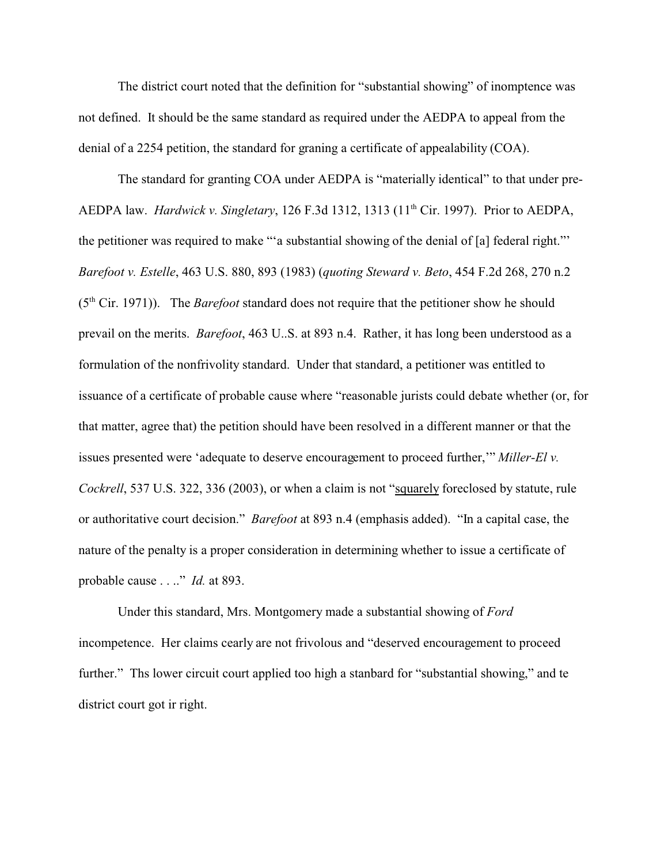The district court noted that the definition for "substantial showing" of inomptence was not defined. It should be the same standard as required under the AEDPA to appeal from the denial of a 2254 petition, the standard for graning a certificate of appealability (COA).

The standard for granting COA under AEDPA is "materially identical" to that under pre-AEDPA law. *Hardwick v. Singletary*, 126 F.3d 1312, 1313 (11th Cir. 1997). Prior to AEDPA, the petitioner was required to make "'a substantial showing of the denial of [a] federal right."' *Barefoot v. Estelle*, 463 U.S. 880, 893 (1983) (*quoting Steward v. Beto*, 454 F.2d 268, 270 n.2 (5<sup>th</sup> Cir. 1971)). The *Barefoot* standard does not require that the petitioner show he should prevail on the merits. *Barefoot*, 463 U..S. at 893 n.4. Rather, it has long been understood as a formulation of the nonfrivolity standard. Under that standard, a petitioner was entitled to issuance of a certificate of probable cause where "reasonable jurists could debate whether (or, for that matter, agree that) the petition should have been resolved in a different manner or that the issues presented were 'adequate to deserve encouragement to proceed further,'" *Miller-El v. Cockrell*, 537 U.S. 322, 336 (2003), or when a claim is not "squarely foreclosed by statute, rule or authoritative court decision." *Barefoot* at 893 n.4 (emphasis added). "In a capital case, the nature of the penalty is a proper consideration in determining whether to issue a certificate of probable cause . . .." *Id.* at 893.

Under this standard, Mrs. Montgomery made a substantial showing of *Ford* incompetence. Her claims cearly are not frivolous and "deserved encouragement to proceed further." Ths lower circuit court applied too high a stanbard for "substantial showing," and te district court got ir right.